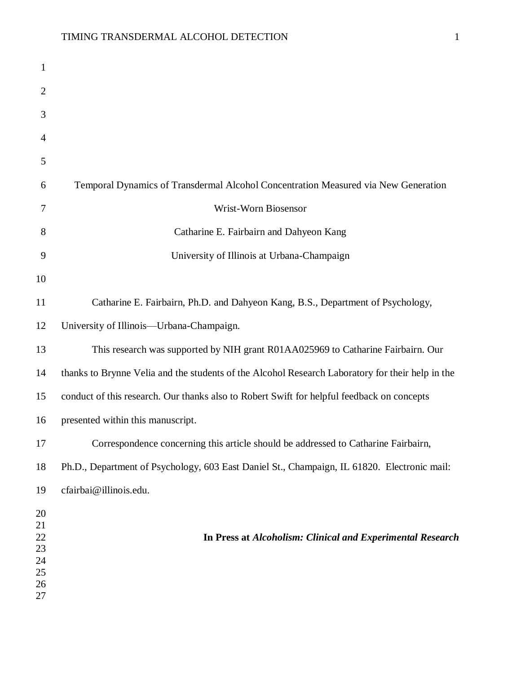| $\mathbf{1}$                                 |                                                                                                  |
|----------------------------------------------|--------------------------------------------------------------------------------------------------|
| $\overline{2}$                               |                                                                                                  |
| 3                                            |                                                                                                  |
| 4                                            |                                                                                                  |
| 5                                            |                                                                                                  |
| 6                                            | Temporal Dynamics of Transdermal Alcohol Concentration Measured via New Generation               |
| 7                                            | Wrist-Worn Biosensor                                                                             |
| 8                                            | Catharine E. Fairbairn and Dahyeon Kang                                                          |
| 9                                            | University of Illinois at Urbana-Champaign                                                       |
| 10                                           |                                                                                                  |
| 11                                           | Catharine E. Fairbairn, Ph.D. and Dahyeon Kang, B.S., Department of Psychology,                  |
| 12                                           | University of Illinois-Urbana-Champaign.                                                         |
| 13                                           | This research was supported by NIH grant R01AA025969 to Catharine Fairbairn. Our                 |
| 14                                           | thanks to Brynne Velia and the students of the Alcohol Research Laboratory for their help in the |
| 15                                           | conduct of this research. Our thanks also to Robert Swift for helpful feedback on concepts       |
| 16                                           | presented within this manuscript.                                                                |
| 17                                           | Correspondence concerning this article should be addressed to Catharine Fairbairn,               |
| 18                                           | Ph.D., Department of Psychology, 603 East Daniel St., Champaign, IL 61820. Electronic mail:      |
| 19                                           | cfairbai@illinois.edu.                                                                           |
| 20<br>21<br>22<br>23<br>24<br>25<br>26<br>27 | In Press at Alcoholism: Clinical and Experimental Research                                       |
|                                              |                                                                                                  |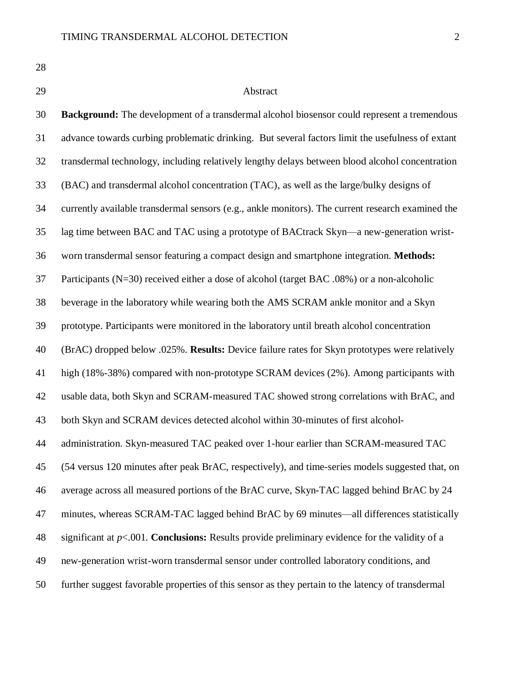# Abstract

 **Background:** The development of a transdermal alcohol biosensor could represent a tremendous advance towards curbing problematic drinking. But several factors limit the usefulness of extant transdermal technology, including relatively lengthy delays between blood alcohol concentration (BAC) and transdermal alcohol concentration (TAC), as well as the large/bulky designs of currently available transdermal sensors (e.g., ankle monitors). The current research examined the lag time between BAC and TAC using a prototype of BACtrack Skyn—a new-generation wrist- worn transdermal sensor featuring a compact design and smartphone integration. **Methods:** Participants (N=30) received either a dose of alcohol (target BAC .08%) or a non-alcoholic beverage in the laboratory while wearing both the AMS SCRAM ankle monitor and a Skyn prototype. Participants were monitored in the laboratory until breath alcohol concentration (BrAC) dropped below .025%. **Results:** Device failure rates for Skyn prototypes were relatively high (18%-38%) compared with non-prototype SCRAM devices (2%). Among participants with usable data, both Skyn and SCRAM-measured TAC showed strong correlations with BrAC, and both Skyn and SCRAM devices detected alcohol within 30-minutes of first alcohol- administration. Skyn-measured TAC peaked over 1-hour earlier than SCRAM-measured TAC (54 versus 120 minutes after peak BrAC, respectively), and time-series models suggested that, on average across all measured portions of the BrAC curve, Skyn-TAC lagged behind BrAC by 24 minutes, whereas SCRAM-TAC lagged behind BrAC by 69 minutes—all differences statistically significant at *p*<.001. **Conclusions:** Results provide preliminary evidence for the validity of a new-generation wrist-worn transdermal sensor under controlled laboratory conditions, and further suggest favorable properties of this sensor as they pertain to the latency of transdermal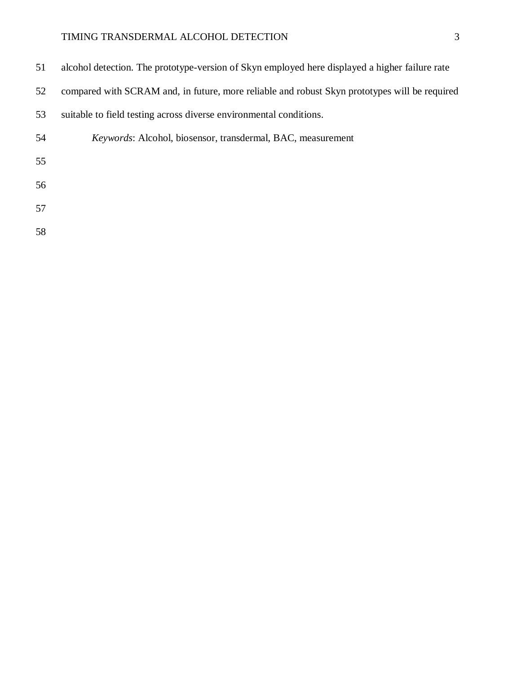| 51 | alcohol detection. The prototype-version of Skyn employed here displayed a higher failure rate |
|----|------------------------------------------------------------------------------------------------|
| 52 | compared with SCRAM and, in future, more reliable and robust Skyn prototypes will be required  |
| 53 | suitable to field testing across diverse environmental conditions.                             |
| 54 | Keywords: Alcohol, biosensor, transdermal, BAC, measurement                                    |
| 55 |                                                                                                |
| 56 |                                                                                                |
| 57 |                                                                                                |
| 58 |                                                                                                |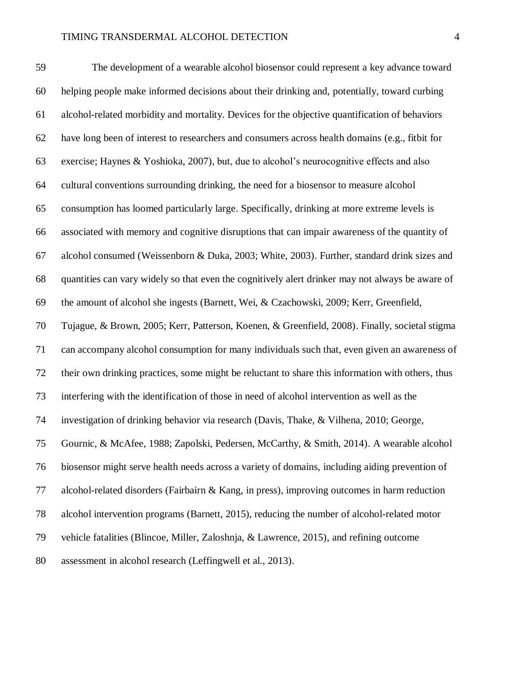The development of a wearable alcohol biosensor could represent a key advance toward helping people make informed decisions about their drinking and, potentially, toward curbing alcohol-related morbidity and mortality. Devices for the objective quantification of behaviors have long been of interest to researchers and consumers across health domains (e.g., fitbit for exercise; Haynes & Yoshioka, 2007), but, due to alcohol's neurocognitive effects and also cultural conventions surrounding drinking, the need for a biosensor to measure alcohol consumption has loomed particularly large. Specifically, drinking at more extreme levels is associated with memory and cognitive disruptions that can impair awareness of the quantity of alcohol consumed (Weissenborn & Duka, 2003; White, 2003). Further, standard drink sizes and quantities can vary widely so that even the cognitively alert drinker may not always be aware of the amount of alcohol she ingests (Barnett, Wei, & Czachowski, 2009; Kerr, Greenfield, Tujague, & Brown, 2005; Kerr, Patterson, Koenen, & Greenfield, 2008). Finally, societal stigma can accompany alcohol consumption for many individuals such that, even given an awareness of their own drinking practices, some might be reluctant to share this information with others, thus interfering with the identification of those in need of alcohol intervention as well as the investigation of drinking behavior via research (Davis, Thake, & Vilhena, 2010; George, Gournic, & McAfee, 1988; Zapolski, Pedersen, McCarthy, & Smith, 2014). A wearable alcohol biosensor might serve health needs across a variety of domains, including aiding prevention of alcohol-related disorders (Fairbairn & Kang, in press), improving outcomes in harm reduction alcohol intervention programs (Barnett, 2015), reducing the number of alcohol-related motor vehicle fatalities (Blincoe, Miller, Zaloshnja, & Lawrence, 2015), and refining outcome assessment in alcohol research (Leffingwell et al., 2013).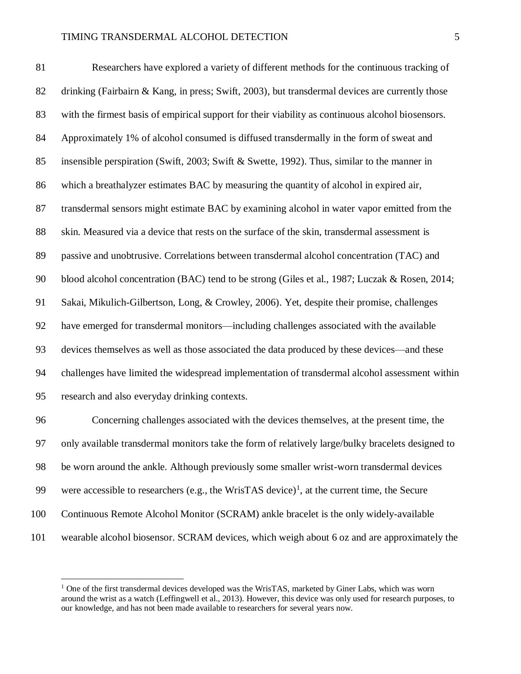Researchers have explored a variety of different methods for the continuous tracking of drinking (Fairbairn & Kang, in press; Swift, 2003), but transdermal devices are currently those with the firmest basis of empirical support for their viability as continuous alcohol biosensors. Approximately 1% of alcohol consumed is diffused transdermally in the form of sweat and insensible perspiration (Swift, 2003; Swift & Swette, 1992). Thus, similar to the manner in which a breathalyzer estimates BAC by measuring the quantity of alcohol in expired air, transdermal sensors might estimate BAC by examining alcohol in water vapor emitted from the skin. Measured via a device that rests on the surface of the skin, transdermal assessment is passive and unobtrusive. Correlations between transdermal alcohol concentration (TAC) and blood alcohol concentration (BAC) tend to be strong (Giles et al., 1987; Luczak & Rosen, 2014; Sakai, Mikulich-Gilbertson, Long, & Crowley, 2006). Yet, despite their promise, challenges have emerged for transdermal monitors—including challenges associated with the available devices themselves as well as those associated the data produced by these devices—and these challenges have limited the widespread implementation of transdermal alcohol assessment within research and also everyday drinking contexts.

 Concerning challenges associated with the devices themselves, at the present time, the only available transdermal monitors take the form of relatively large/bulky bracelets designed to be worn around the ankle. Although previously some smaller wrist-worn transdermal devices 99 were accessible to researchers (e.g., the WrisTAS device)<sup>1</sup>, at the current time, the Secure Continuous Remote Alcohol Monitor (SCRAM) ankle bracelet is the only widely-available wearable alcohol biosensor. SCRAM devices, which weigh about 6 oz and are approximately the

 $\overline{a}$ 

 One of the first transdermal devices developed was the WrisTAS, marketed by Giner Labs, which was worn around the wrist as a watch (Leffingwell et al., 2013). However, this device was only used for research purposes, to our knowledge, and has not been made available to researchers for several years now.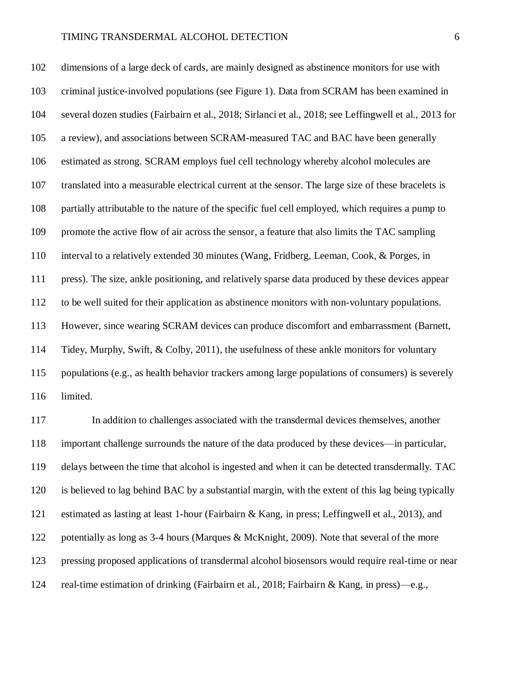dimensions of a large deck of cards, are mainly designed as abstinence monitors for use with criminal justice-involved populations (see Figure 1). Data from SCRAM has been examined in several dozen studies (Fairbairn et al., 2018; Sirlanci et al., 2018; see Leffingwell et al., 2013 for a review), and associations between SCRAM-measured TAC and BAC have been generally estimated as strong. SCRAM employs fuel cell technology whereby alcohol molecules are translated into a measurable electrical current at the sensor. The large size of these bracelets is partially attributable to the nature of the specific fuel cell employed, which requires a pump to promote the active flow of air across the sensor, a feature that also limits the TAC sampling interval to a relatively extended 30 minutes (Wang, Fridberg, Leeman, Cook, & Porges, in press). The size, ankle positioning, and relatively sparse data produced by these devices appear to be well suited for their application as abstinence monitors with non-voluntary populations. However, since wearing SCRAM devices can produce discomfort and embarrassment (Barnett, Tidey, Murphy, Swift, & Colby, 2011), the usefulness of these ankle monitors for voluntary populations (e.g., as health behavior trackers among large populations of consumers) is severely limited.

 In addition to challenges associated with the transdermal devices themselves, another important challenge surrounds the nature of the data produced by these devices—in particular, delays between the time that alcohol is ingested and when it can be detected transdermally. TAC is believed to lag behind BAC by a substantial margin, with the extent of this lag being typically estimated as lasting at least 1-hour (Fairbairn & Kang, in press; Leffingwell et al., 2013), and 122 potentially as long as 3-4 hours (Marques & McKnight, 2009). Note that several of the more pressing proposed applications of transdermal alcohol biosensors would require real-time or near real-time estimation of drinking (Fairbairn et al., 2018; Fairbairn & Kang, in press)—e.g.,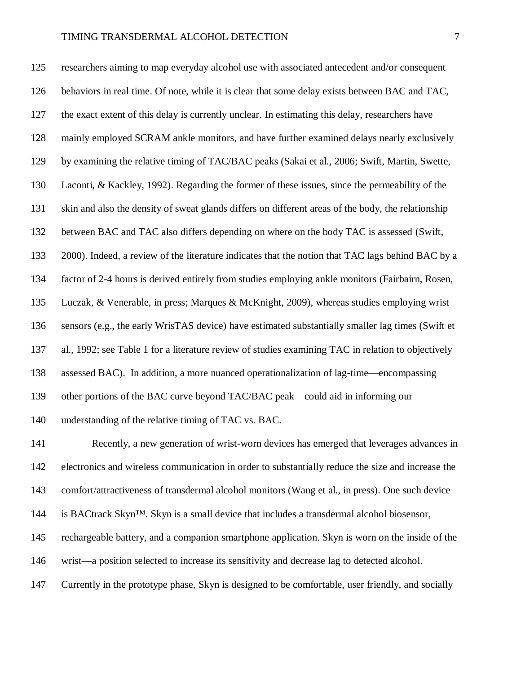researchers aiming to map everyday alcohol use with associated antecedent and/or consequent behaviors in real time. Of note, while it is clear that some delay exists between BAC and TAC, the exact extent of this delay is currently unclear. In estimating this delay, researchers have mainly employed SCRAM ankle monitors, and have further examined delays nearly exclusively by examining the relative timing of TAC/BAC peaks (Sakai et al., 2006; Swift, Martin, Swette, Laconti, & Kackley, 1992). Regarding the former of these issues, since the permeability of the skin and also the density of sweat glands differs on different areas of the body, the relationship between BAC and TAC also differs depending on where on the body TAC is assessed (Swift, 2000). Indeed, a review of the literature indicates that the notion that TAC lags behind BAC by a factor of 2-4 hours is derived entirely from studies employing ankle monitors (Fairbairn, Rosen, Luczak, & Venerable, in press; Marques & McKnight, 2009), whereas studies employing wrist sensors (e.g., the early WrisTAS device) have estimated substantially smaller lag times (Swift et al., 1992; see Table 1 for a literature review of studies examining TAC in relation to objectively assessed BAC). In addition, a more nuanced operationalization of lag-time—encompassing other portions of the BAC curve beyond TAC/BAC peak—could aid in informing our understanding of the relative timing of TAC vs. BAC. Recently, a new generation of wrist-worn devices has emerged that leverages advances in electronics and wireless communication in order to substantially reduce the size and increase the

comfort/attractiveness of transdermal alcohol monitors (Wang et al., in press). One such device

is BACtrack Skyn™. Skyn is a small device that includes a transdermal alcohol biosensor,

rechargeable battery, and a companion smartphone application. Skyn is worn on the inside of the

wrist—a position selected to increase its sensitivity and decrease lag to detected alcohol.

Currently in the prototype phase, Skyn is designed to be comfortable, user friendly, and socially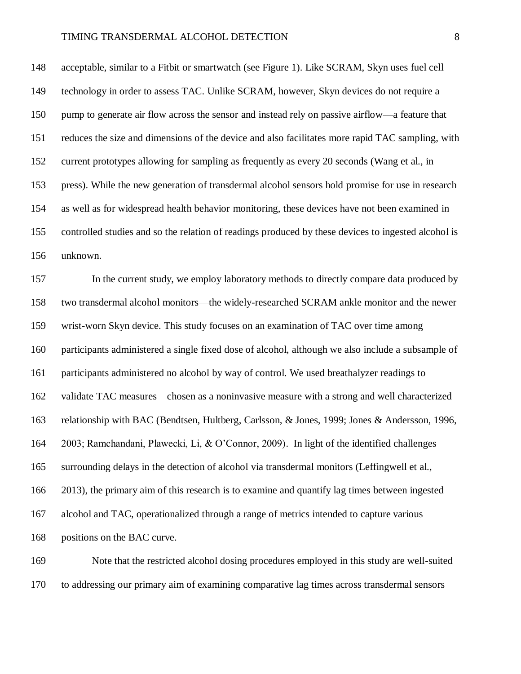acceptable, similar to a Fitbit or smartwatch (see Figure 1). Like SCRAM, Skyn uses fuel cell technology in order to assess TAC. Unlike SCRAM, however, Skyn devices do not require a pump to generate air flow across the sensor and instead rely on passive airflow—a feature that reduces the size and dimensions of the device and also facilitates more rapid TAC sampling, with current prototypes allowing for sampling as frequently as every 20 seconds (Wang et al., in press). While the new generation of transdermal alcohol sensors hold promise for use in research as well as for widespread health behavior monitoring, these devices have not been examined in controlled studies and so the relation of readings produced by these devices to ingested alcohol is unknown.

 In the current study, we employ laboratory methods to directly compare data produced by two transdermal alcohol monitors—the widely-researched SCRAM ankle monitor and the newer wrist-worn Skyn device. This study focuses on an examination of TAC over time among participants administered a single fixed dose of alcohol, although we also include a subsample of participants administered no alcohol by way of control. We used breathalyzer readings to validate TAC measures—chosen as a noninvasive measure with a strong and well characterized relationship with BAC (Bendtsen, Hultberg, Carlsson, & Jones, 1999; Jones & Andersson, 1996, 2003; Ramchandani, Plawecki, Li, & O'Connor, 2009). In light of the identified challenges surrounding delays in the detection of alcohol via transdermal monitors (Leffingwell et al., 2013), the primary aim of this research is to examine and quantify lag times between ingested alcohol and TAC, operationalized through a range of metrics intended to capture various positions on the BAC curve.

 Note that the restricted alcohol dosing procedures employed in this study are well-suited to addressing our primary aim of examining comparative lag times across transdermal sensors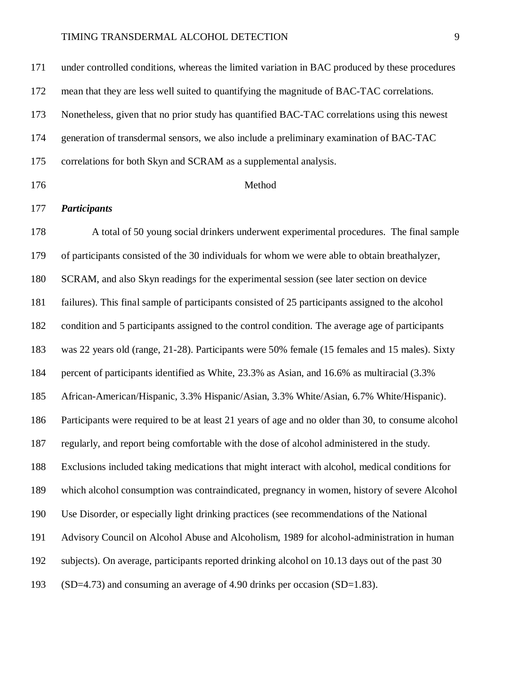| 171 | under controlled conditions, whereas the limited variation in BAC produced by these procedures     |
|-----|----------------------------------------------------------------------------------------------------|
| 172 | mean that they are less well suited to quantifying the magnitude of BAC-TAC correlations.          |
| 173 | Nonetheless, given that no prior study has quantified BAC-TAC correlations using this newest       |
| 174 | generation of transdermal sensors, we also include a preliminary examination of BAC-TAC            |
| 175 | correlations for both Skyn and SCRAM as a supplemental analysis.                                   |
| 176 | Method                                                                                             |
| 177 | <b>Participants</b>                                                                                |
| 178 | A total of 50 young social drinkers underwent experimental procedures. The final sample            |
| 179 | of participants consisted of the 30 individuals for whom we were able to obtain breathalyzer,      |
| 180 | SCRAM, and also Skyn readings for the experimental session (see later section on device            |
| 181 | failures). This final sample of participants consisted of 25 participants assigned to the alcohol  |
| 182 | condition and 5 participants assigned to the control condition. The average age of participants    |
| 183 | was 22 years old (range, 21-28). Participants were 50% female (15 females and 15 males). Sixty     |
| 184 | percent of participants identified as White, 23.3% as Asian, and 16.6% as multiracial (3.3%)       |
| 185 | African-American/Hispanic, 3.3% Hispanic/Asian, 3.3% White/Asian, 6.7% White/Hispanic).            |
| 186 | Participants were required to be at least 21 years of age and no older than 30, to consume alcohol |
| 187 | regularly, and report being comfortable with the dose of alcohol administered in the study.        |
| 188 | Exclusions included taking medications that might interact with alcohol, medical conditions for    |
| 189 | which alcohol consumption was contraindicated, pregnancy in women, history of severe Alcohol       |
| 190 | Use Disorder, or especially light drinking practices (see recommendations of the National          |
| 191 | Advisory Council on Alcohol Abuse and Alcoholism, 1989 for alcohol-administration in human         |
| 192 | subjects). On average, participants reported drinking alcohol on 10.13 days out of the past 30     |

(SD=4.73) and consuming an average of 4.90 drinks per occasion (SD=1.83).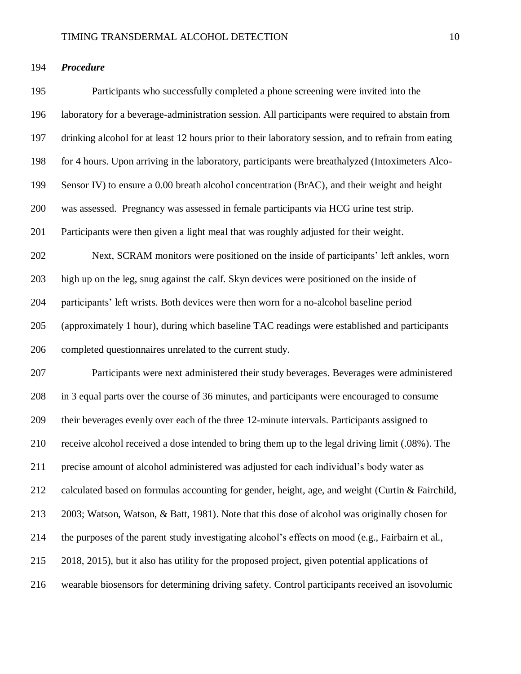# *Procedure*

 Participants who successfully completed a phone screening were invited into the laboratory for a beverage-administration session. All participants were required to abstain from drinking alcohol for at least 12 hours prior to their laboratory session, and to refrain from eating for 4 hours. Upon arriving in the laboratory, participants were breathalyzed (Intoximeters Alco- Sensor IV) to ensure a 0.00 breath alcohol concentration (BrAC), and their weight and height was assessed. Pregnancy was assessed in female participants via HCG urine test strip. Participants were then given a light meal that was roughly adjusted for their weight. Next, SCRAM monitors were positioned on the inside of participants' left ankles, worn high up on the leg, snug against the calf. Skyn devices were positioned on the inside of participants' left wrists. Both devices were then worn for a no-alcohol baseline period (approximately 1 hour), during which baseline TAC readings were established and participants completed questionnaires unrelated to the current study. Participants were next administered their study beverages. Beverages were administered in 3 equal parts over the course of 36 minutes, and participants were encouraged to consume their beverages evenly over each of the three 12-minute intervals. Participants assigned to receive alcohol received a dose intended to bring them up to the legal driving limit (.08%). The precise amount of alcohol administered was adjusted for each individual's body water as calculated based on formulas accounting for gender, height, age, and weight (Curtin & Fairchild, 2003; Watson, Watson, & Batt, 1981). Note that this dose of alcohol was originally chosen for the purposes of the parent study investigating alcohol's effects on mood (e.g., Fairbairn et al., 2018, 2015), but it also has utility for the proposed project, given potential applications of wearable biosensors for determining driving safety. Control participants received an isovolumic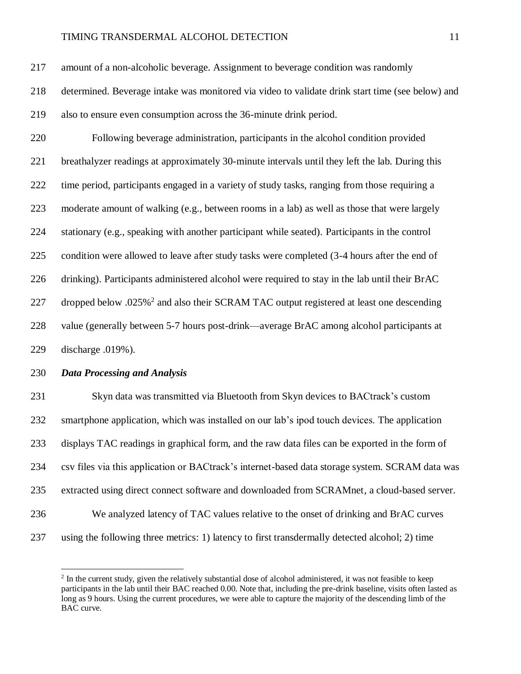amount of a non-alcoholic beverage. Assignment to beverage condition was randomly

 determined. Beverage intake was monitored via video to validate drink start time (see below) and also to ensure even consumption across the 36-minute drink period.

 Following beverage administration, participants in the alcohol condition provided breathalyzer readings at approximately 30-minute intervals until they left the lab. During this time period, participants engaged in a variety of study tasks, ranging from those requiring a moderate amount of walking (e.g., between rooms in a lab) as well as those that were largely stationary (e.g., speaking with another participant while seated). Participants in the control condition were allowed to leave after study tasks were completed (3-4 hours after the end of drinking). Participants administered alcohol were required to stay in the lab until their BrAC 227 dropped below .025%<sup>2</sup> and also their SCRAM TAC output registered at least one descending value (generally between 5-7 hours post-drink—average BrAC among alcohol participants at discharge .019%).

# *Data Processing and Analysis*

 $\overline{a}$ 

 Skyn data was transmitted via Bluetooth from Skyn devices to BACtrack's custom smartphone application, which was installed on our lab's ipod touch devices. The application displays TAC readings in graphical form, and the raw data files can be exported in the form of csv files via this application or BACtrack's internet-based data storage system. SCRAM data was extracted using direct connect software and downloaded from SCRAMnet, a cloud-based server. We analyzed latency of TAC values relative to the onset of drinking and BrAC curves using the following three metrics: 1) latency to first transdermally detected alcohol; 2) time

 In the current study, given the relatively substantial dose of alcohol administered, it was not feasible to keep participants in the lab until their BAC reached 0.00. Note that, including the pre-drink baseline, visits often lasted as long as 9 hours. Using the current procedures, we were able to capture the majority of the descending limb of the BAC curve.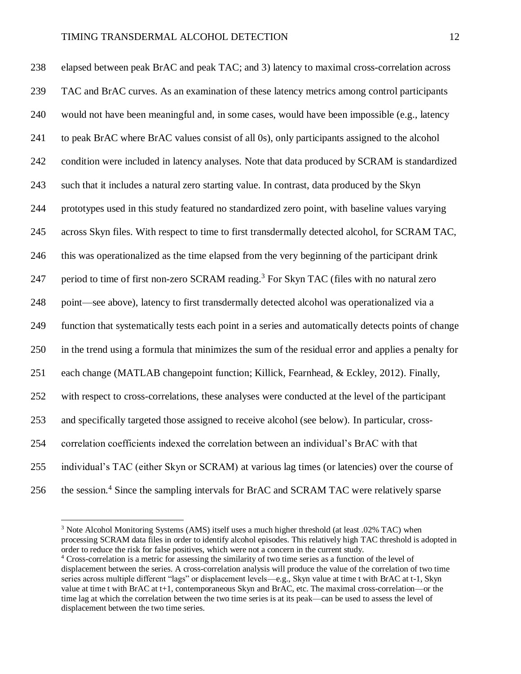elapsed between peak BrAC and peak TAC; and 3) latency to maximal cross-correlation across TAC and BrAC curves. As an examination of these latency metrics among control participants would not have been meaningful and, in some cases, would have been impossible (e.g., latency to peak BrAC where BrAC values consist of all 0s), only participants assigned to the alcohol condition were included in latency analyses. Note that data produced by SCRAM is standardized such that it includes a natural zero starting value. In contrast, data produced by the Skyn prototypes used in this study featured no standardized zero point, with baseline values varying across Skyn files. With respect to time to first transdermally detected alcohol, for SCRAM TAC, this was operationalized as the time elapsed from the very beginning of the participant drink 247 period to time of first non-zero SCRAM reading.<sup>3</sup> For Skyn TAC (files with no natural zero point—see above), latency to first transdermally detected alcohol was operationalized via a function that systematically tests each point in a series and automatically detects points of change in the trend using a formula that minimizes the sum of the residual error and applies a penalty for each change (MATLAB changepoint function; Killick, Fearnhead, & Eckley, 2012). Finally, with respect to cross-correlations, these analyses were conducted at the level of the participant and specifically targeted those assigned to receive alcohol (see below). In particular, cross- correlation coefficients indexed the correlation between an individual's BrAC with that individual's TAC (either Skyn or SCRAM) at various lag times (or latencies) over the course of 256 the session.<sup>4</sup> Since the sampling intervals for BrAC and SCRAM TAC were relatively sparse

 $\overline{a}$ 

<sup>&</sup>lt;sup>3</sup> Note Alcohol Monitoring Systems (AMS) itself uses a much higher threshold (at least .02% TAC) when processing SCRAM data files in order to identify alcohol episodes. This relatively high TAC threshold is adopted in order to reduce the risk for false positives, which were not a concern in the current study.

<sup>4</sup> Cross-correlation is a metric for assessing the similarity of two time series as a function of the level of displacement between the series. A cross-correlation analysis will produce the value of the correlation of two time series across multiple different "lags" or displacement levels—e.g., Skyn value at time t with BrAC at t-1, Skyn value at time t with BrAC at t+1, contemporaneous Skyn and BrAC, etc. The maximal cross-correlation—or the time lag at which the correlation between the two time series is at its peak—can be used to assess the level of displacement between the two time series.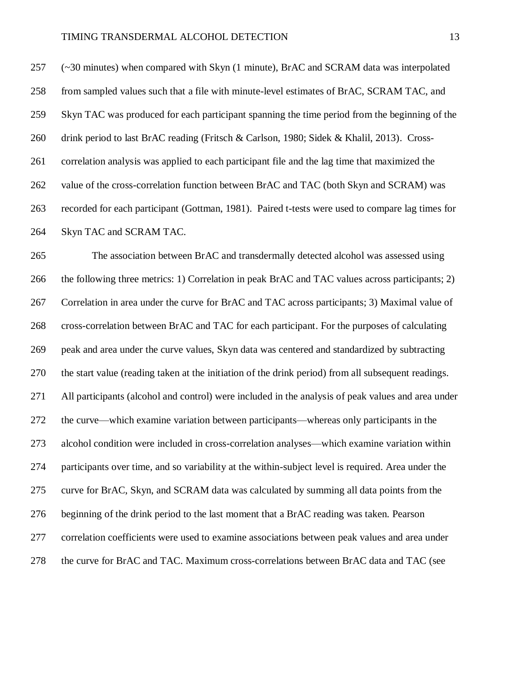(~30 minutes) when compared with Skyn (1 minute), BrAC and SCRAM data was interpolated from sampled values such that a file with minute-level estimates of BrAC, SCRAM TAC, and Skyn TAC was produced for each participant spanning the time period from the beginning of the 260 drink period to last BrAC reading (Fritsch & Carlson, 1980; Sidek & Khalil, 2013). Cross- correlation analysis was applied to each participant file and the lag time that maximized the value of the cross-correlation function between BrAC and TAC (both Skyn and SCRAM) was recorded for each participant (Gottman, 1981). Paired t-tests were used to compare lag times for Skyn TAC and SCRAM TAC.

 The association between BrAC and transdermally detected alcohol was assessed using the following three metrics: 1) Correlation in peak BrAC and TAC values across participants; 2) Correlation in area under the curve for BrAC and TAC across participants; 3) Maximal value of cross-correlation between BrAC and TAC for each participant. For the purposes of calculating peak and area under the curve values, Skyn data was centered and standardized by subtracting the start value (reading taken at the initiation of the drink period) from all subsequent readings. All participants (alcohol and control) were included in the analysis of peak values and area under the curve—which examine variation between participants—whereas only participants in the alcohol condition were included in cross-correlation analyses—which examine variation within participants over time, and so variability at the within-subject level is required. Area under the curve for BrAC, Skyn, and SCRAM data was calculated by summing all data points from the beginning of the drink period to the last moment that a BrAC reading was taken. Pearson correlation coefficients were used to examine associations between peak values and area under the curve for BrAC and TAC. Maximum cross-correlations between BrAC data and TAC (see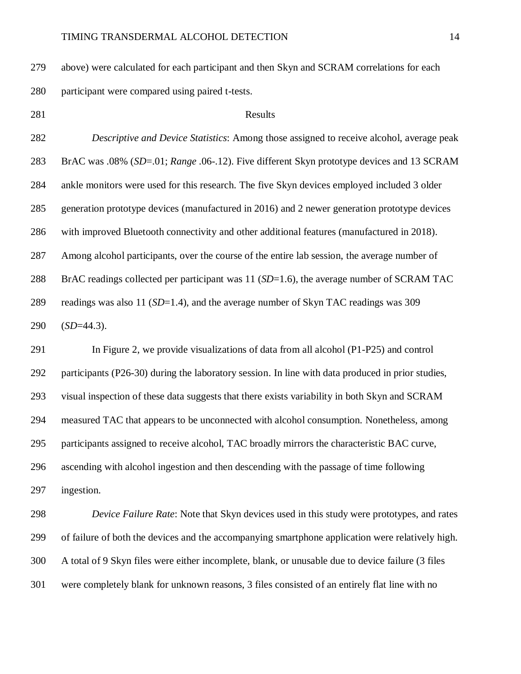above) were calculated for each participant and then Skyn and SCRAM correlations for each participant were compared using paired t-tests.

# 281 Results

 *Descriptive and Device Statistics*: Among those assigned to receive alcohol, average peak BrAC was .08% (*SD*=.01; *Range* .06-.12). Five different Skyn prototype devices and 13 SCRAM ankle monitors were used for this research. The five Skyn devices employed included 3 older generation prototype devices (manufactured in 2016) and 2 newer generation prototype devices with improved Bluetooth connectivity and other additional features (manufactured in 2018). Among alcohol participants, over the course of the entire lab session, the average number of BrAC readings collected per participant was 11 (*SD*=1.6), the average number of SCRAM TAC readings was also 11 (*SD*=1.4), and the average number of Skyn TAC readings was 309 (*SD*=44.3).

 In Figure 2, we provide visualizations of data from all alcohol (P1-P25) and control participants (P26-30) during the laboratory session. In line with data produced in prior studies, visual inspection of these data suggests that there exists variability in both Skyn and SCRAM measured TAC that appears to be unconnected with alcohol consumption. Nonetheless, among participants assigned to receive alcohol, TAC broadly mirrors the characteristic BAC curve, ascending with alcohol ingestion and then descending with the passage of time following ingestion.

 *Device Failure Rate*: Note that Skyn devices used in this study were prototypes, and rates of failure of both the devices and the accompanying smartphone application were relatively high. A total of 9 Skyn files were either incomplete, blank, or unusable due to device failure (3 files were completely blank for unknown reasons, 3 files consisted of an entirely flat line with no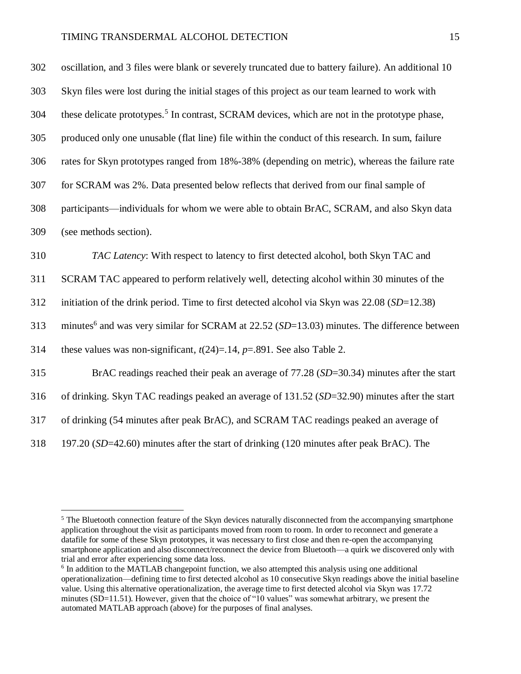| 302 | oscillation, and 3 files were blank or severely truncated due to battery failure). An additional 10       |
|-----|-----------------------------------------------------------------------------------------------------------|
| 303 | Skyn files were lost during the initial stages of this project as our team learned to work with           |
| 304 | these delicate prototypes. <sup>5</sup> In contrast, SCRAM devices, which are not in the prototype phase, |
| 305 | produced only one unusable (flat line) file within the conduct of this research. In sum, failure          |
| 306 | rates for Skyn prototypes ranged from 18%-38% (depending on metric), whereas the failure rate             |
| 307 | for SCRAM was 2%. Data presented below reflects that derived from our final sample of                     |
| 308 | participants—individuals for whom we were able to obtain BrAC, SCRAM, and also Skyn data                  |
| 309 | (see methods section).                                                                                    |
| 310 | TAC Latency: With respect to latency to first detected alcohol, both Skyn TAC and                         |
| 311 | SCRAM TAC appeared to perform relatively well, detecting alcohol within 30 minutes of the                 |
| 312 | initiation of the drink period. Time to first detected alcohol via Skyn was 22.08 (SD=12.38)              |
| 313 | minutes <sup>6</sup> and was very similar for SCRAM at $22.52$ (SD=13.03) minutes. The difference between |
| 314 | these values was non-significant, $t(24)=14$ , $p=.891$ . See also Table 2.                               |
| 315 | BrAC readings reached their peak an average of $77.28$ ( $SD=30.34$ ) minutes after the start             |
| 316 | of drinking. Skyn TAC readings peaked an average of $131.52$ ( $SD=32.90$ ) minutes after the start       |
| 317 | of drinking (54 minutes after peak BrAC), and SCRAM TAC readings peaked an average of                     |
| 318 | 197.20 (SD=42.60) minutes after the start of drinking (120 minutes after peak BrAC). The                  |

 $\overline{a}$ 

<sup>&</sup>lt;sup>5</sup> The Bluetooth connection feature of the Skyn devices naturally disconnected from the accompanying smartphone application throughout the visit as participants moved from room to room. In order to reconnect and generate a datafile for some of these Skyn prototypes, it was necessary to first close and then re-open the accompanying smartphone application and also disconnect/reconnect the device from Bluetooth—a quirk we discovered only with trial and error after experiencing some data loss.

<sup>&</sup>lt;sup>6</sup> In addition to the MATLAB changepoint function, we also attempted this analysis using one additional operationalization—defining time to first detected alcohol as 10 consecutive Skyn readings above the initial baseline value. Using this alternative operationalization, the average time to first detected alcohol via Skyn was 17.72 minutes (SD=11.51). However, given that the choice of "10 values" was somewhat arbitrary, we present the automated MATLAB approach (above) for the purposes of final analyses.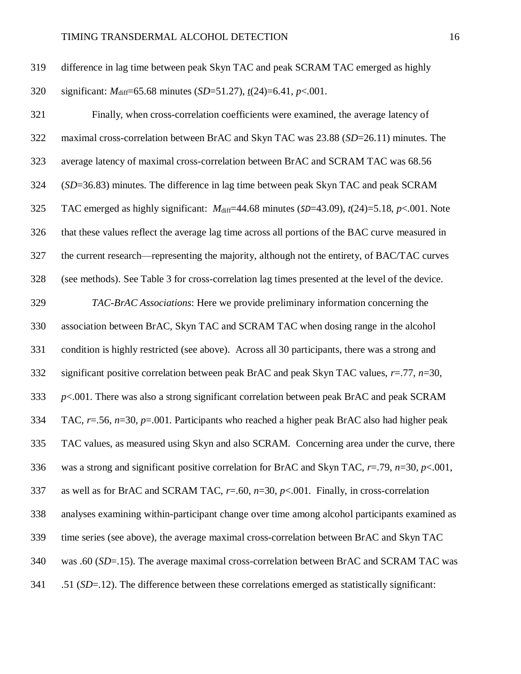| 319 | difference in lag time between peak Skyn TAC and peak SCRAM TAC emerged as highly  |
|-----|------------------------------------------------------------------------------------|
| 320 | significant: $M_{diff}$ =65.68 minutes (SD=51.27), $t(24)$ =6.41, $p<0.01$ .       |
| 321 | Finally, when cross-correlation coefficients were examined, the average latency of |

 maximal cross-correlation between BrAC and Skyn TAC was 23.88 (*SD*=26.11) minutes. The average latency of maximal cross-correlation between BrAC and SCRAM TAC was 68.56 (*SD*=36.83) minutes. The difference in lag time between peak Skyn TAC and peak SCRAM 325 TAC emerged as highly significant:  $M_{\text{diff}}$ =44.68 minutes (*SD*=43.09),  $t(24)$ =5.18,  $p<0.001$ . Note that these values reflect the average lag time across all portions of the BAC curve measured in the current research—representing the majority, although not the entirety, of BAC/TAC curves (see methods). See Table 3 for cross-correlation lag times presented at the level of the device. *TAC-BrAC Associations*: Here we provide preliminary information concerning the association between BrAC, Skyn TAC and SCRAM TAC when dosing range in the alcohol condition is highly restricted (see above). Across all 30 participants, there was a strong and significant positive correlation between peak BrAC and peak Skyn TAC values, *r*=.77, *n*=30, *p*<.001. There was also a strong significant correlation between peak BrAC and peak SCRAM TAC, *r*=.56, *n*=30, *p*=.001. Participants who reached a higher peak BrAC also had higher peak TAC values, as measured using Skyn and also SCRAM. Concerning area under the curve, there was a strong and significant positive correlation for BrAC and Skyn TAC, *r*=.79, *n*=30, *p*<.001, as well as for BrAC and SCRAM TAC, *r*=.60, *n*=30, *p*<.001. Finally, in cross-correlation analyses examining within-participant change over time among alcohol participants examined as time series (see above), the average maximal cross-correlation between BrAC and Skyn TAC

was .60 (*SD*=.15). The average maximal cross-correlation between BrAC and SCRAM TAC was

.51 (*SD*=.12). The difference between these correlations emerged as statistically significant: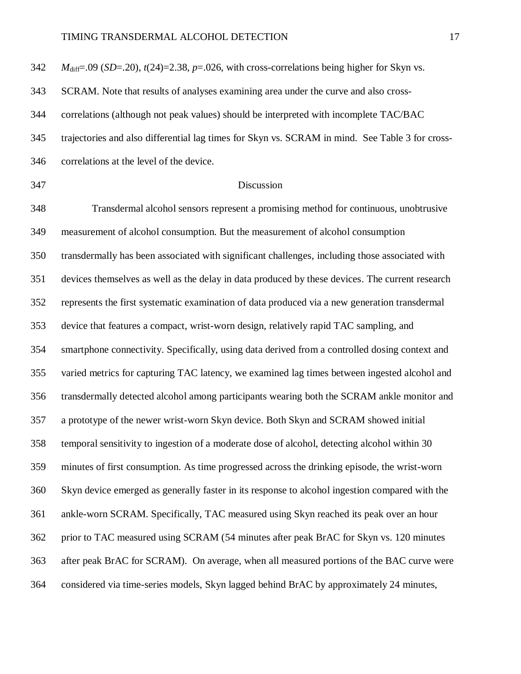| $M_{\text{diff}}$ =.09 (SD=.20), $t(24)$ =2.38, $p$ =.026, with cross-correlations being higher for Skyn vs. |
|--------------------------------------------------------------------------------------------------------------|
| SCRAM. Note that results of analyses examining area under the curve and also cross-                          |
| correlations (although not peak values) should be interpreted with incomplete TAC/BAC                        |
| trajectories and also differential lag times for Skyn vs. SCRAM in mind. See Table 3 for cross-              |
| correlations at the level of the device.                                                                     |
| Discussion                                                                                                   |
| Transdermal alcohol sensors represent a promising method for continuous, unobtrusive                         |
| measurement of alcohol consumption. But the measurement of alcohol consumption                               |
| transdermally has been associated with significant challenges, including those associated with               |
| devices themselves as well as the delay in data produced by these devices. The current research              |
| represents the first systematic examination of data produced via a new generation transdermal                |
| device that features a compact, wrist-worn design, relatively rapid TAC sampling, and                        |
| smartphone connectivity. Specifically, using data derived from a controlled dosing context and               |
| varied metrics for capturing TAC latency, we examined lag times between ingested alcohol and                 |
| transdermally detected alcohol among participants wearing both the SCRAM ankle monitor and                   |
| a prototype of the newer wrist-worn Skyn device. Both Skyn and SCRAM showed initial                          |
| temporal sensitivity to ingestion of a moderate dose of alcohol, detecting alcohol within 30                 |
| minutes of first consumption. As time progressed across the drinking episode, the wrist-worn                 |
| Skyn device emerged as generally faster in its response to alcohol ingestion compared with the               |
| ankle-worn SCRAM. Specifically, TAC measured using Skyn reached its peak over an hour                        |
| prior to TAC measured using SCRAM (54 minutes after peak BrAC for Skyn vs. 120 minutes                       |
| after peak BrAC for SCRAM). On average, when all measured portions of the BAC curve were                     |
| considered via time-series models, Skyn lagged behind BrAC by approximately 24 minutes,                      |
|                                                                                                              |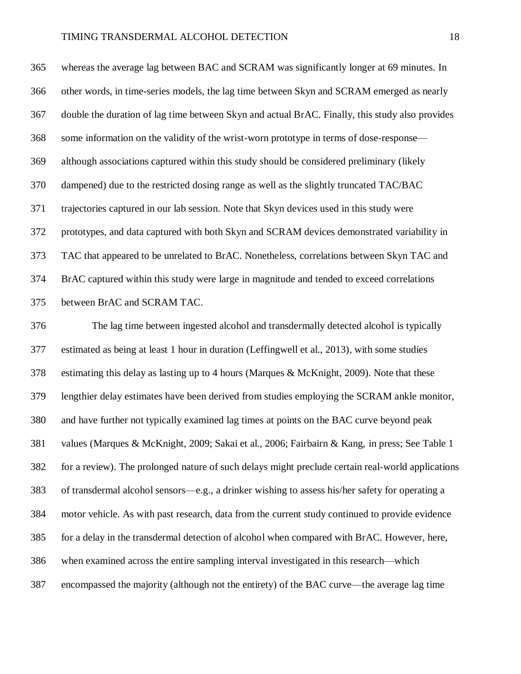whereas the average lag between BAC and SCRAM was significantly longer at 69 minutes. In other words, in time-series models, the lag time between Skyn and SCRAM emerged as nearly double the duration of lag time between Skyn and actual BrAC. Finally, this study also provides some information on the validity of the wrist-worn prototype in terms of dose-response— although associations captured within this study should be considered preliminary (likely dampened) due to the restricted dosing range as well as the slightly truncated TAC/BAC trajectories captured in our lab session. Note that Skyn devices used in this study were prototypes, and data captured with both Skyn and SCRAM devices demonstrated variability in TAC that appeared to be unrelated to BrAC. Nonetheless, correlations between Skyn TAC and BrAC captured within this study were large in magnitude and tended to exceed correlations between BrAC and SCRAM TAC.

 The lag time between ingested alcohol and transdermally detected alcohol is typically estimated as being at least 1 hour in duration (Leffingwell et al., 2013), with some studies estimating this delay as lasting up to 4 hours (Marques & McKnight, 2009). Note that these lengthier delay estimates have been derived from studies employing the SCRAM ankle monitor, and have further not typically examined lag times at points on the BAC curve beyond peak values (Marques & McKnight, 2009; Sakai et al., 2006; Fairbairn & Kang, in press; See Table 1 for a review). The prolonged nature of such delays might preclude certain real-world applications of transdermal alcohol sensors—e.g., a drinker wishing to assess his/her safety for operating a motor vehicle. As with past research, data from the current study continued to provide evidence for a delay in the transdermal detection of alcohol when compared with BrAC. However, here, when examined across the entire sampling interval investigated in this research—which encompassed the majority (although not the entirety) of the BAC curve—the average lag time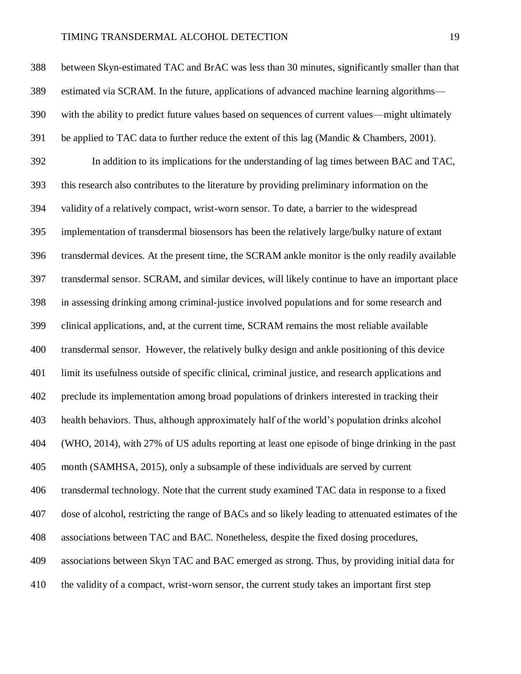between Skyn-estimated TAC and BrAC was less than 30 minutes, significantly smaller than that estimated via SCRAM. In the future, applications of advanced machine learning algorithms— with the ability to predict future values based on sequences of current values—might ultimately be applied to TAC data to further reduce the extent of this lag (Mandic & Chambers, 2001). In addition to its implications for the understanding of lag times between BAC and TAC, this research also contributes to the literature by providing preliminary information on the validity of a relatively compact, wrist-worn sensor. To date, a barrier to the widespread implementation of transdermal biosensors has been the relatively large/bulky nature of extant transdermal devices. At the present time, the SCRAM ankle monitor is the only readily available transdermal sensor. SCRAM, and similar devices, will likely continue to have an important place in assessing drinking among criminal-justice involved populations and for some research and clinical applications, and, at the current time, SCRAM remains the most reliable available transdermal sensor. However, the relatively bulky design and ankle positioning of this device limit its usefulness outside of specific clinical, criminal justice, and research applications and preclude its implementation among broad populations of drinkers interested in tracking their health behaviors. Thus, although approximately half of the world's population drinks alcohol (WHO, 2014), with 27% of US adults reporting at least one episode of binge drinking in the past month (SAMHSA, 2015), only a subsample of these individuals are served by current transdermal technology. Note that the current study examined TAC data in response to a fixed dose of alcohol, restricting the range of BACs and so likely leading to attenuated estimates of the associations between TAC and BAC. Nonetheless, despite the fixed dosing procedures, associations between Skyn TAC and BAC emerged as strong. Thus, by providing initial data for the validity of a compact, wrist-worn sensor, the current study takes an important first step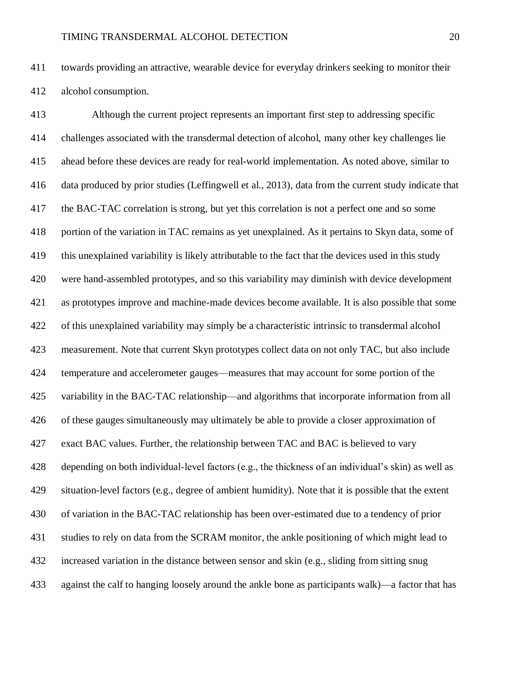towards providing an attractive, wearable device for everyday drinkers seeking to monitor their alcohol consumption.

 Although the current project represents an important first step to addressing specific challenges associated with the transdermal detection of alcohol, many other key challenges lie ahead before these devices are ready for real-world implementation. As noted above, similar to data produced by prior studies (Leffingwell et al., 2013), data from the current study indicate that the BAC-TAC correlation is strong, but yet this correlation is not a perfect one and so some portion of the variation in TAC remains as yet unexplained. As it pertains to Skyn data, some of this unexplained variability is likely attributable to the fact that the devices used in this study were hand-assembled prototypes, and so this variability may diminish with device development as prototypes improve and machine-made devices become available. It is also possible that some of this unexplained variability may simply be a characteristic intrinsic to transdermal alcohol measurement. Note that current Skyn prototypes collect data on not only TAC, but also include temperature and accelerometer gauges—measures that may account for some portion of the variability in the BAC-TAC relationship—and algorithms that incorporate information from all of these gauges simultaneously may ultimately be able to provide a closer approximation of exact BAC values. Further, the relationship between TAC and BAC is believed to vary depending on both individual-level factors (e.g., the thickness of an individual's skin) as well as situation-level factors (e.g., degree of ambient humidity). Note that it is possible that the extent of variation in the BAC-TAC relationship has been over-estimated due to a tendency of prior studies to rely on data from the SCRAM monitor, the ankle positioning of which might lead to increased variation in the distance between sensor and skin (e.g., sliding from sitting snug against the calf to hanging loosely around the ankle bone as participants walk)—a factor that has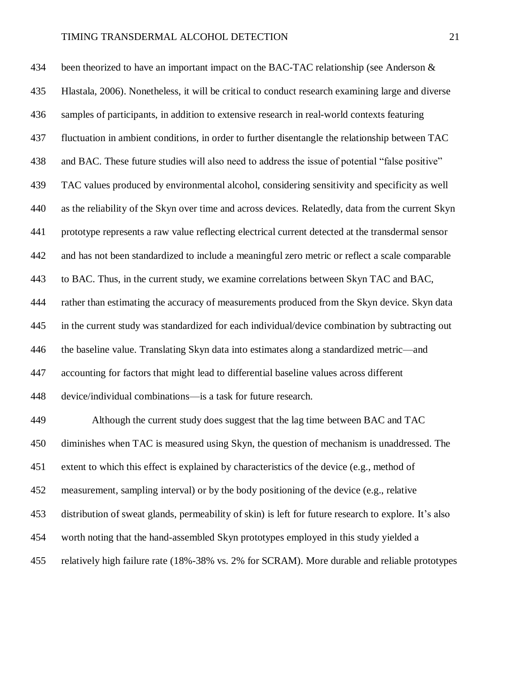434 been theorized to have an important impact on the BAC-TAC relationship (see Anderson & Hlastala, 2006). Nonetheless, it will be critical to conduct research examining large and diverse samples of participants, in addition to extensive research in real-world contexts featuring fluctuation in ambient conditions, in order to further disentangle the relationship between TAC and BAC. These future studies will also need to address the issue of potential "false positive" TAC values produced by environmental alcohol, considering sensitivity and specificity as well as the reliability of the Skyn over time and across devices. Relatedly, data from the current Skyn prototype represents a raw value reflecting electrical current detected at the transdermal sensor and has not been standardized to include a meaningful zero metric or reflect a scale comparable to BAC. Thus, in the current study, we examine correlations between Skyn TAC and BAC, rather than estimating the accuracy of measurements produced from the Skyn device. Skyn data in the current study was standardized for each individual/device combination by subtracting out the baseline value. Translating Skyn data into estimates along a standardized metric—and accounting for factors that might lead to differential baseline values across different device/individual combinations—is a task for future research. Although the current study does suggest that the lag time between BAC and TAC

 diminishes when TAC is measured using Skyn, the question of mechanism is unaddressed. The extent to which this effect is explained by characteristics of the device (e.g., method of measurement, sampling interval) or by the body positioning of the device (e.g., relative distribution of sweat glands, permeability of skin) is left for future research to explore. It's also worth noting that the hand-assembled Skyn prototypes employed in this study yielded a relatively high failure rate (18%-38% vs. 2% for SCRAM). More durable and reliable prototypes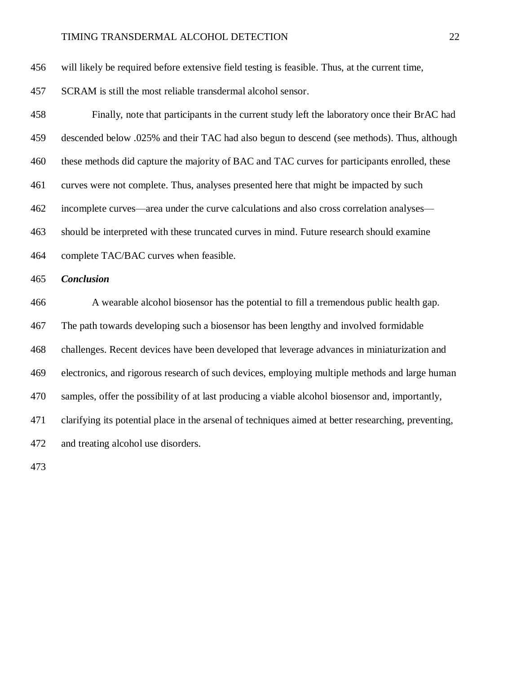will likely be required before extensive field testing is feasible. Thus, at the current time,

SCRAM is still the most reliable transdermal alcohol sensor.

 Finally, note that participants in the current study left the laboratory once their BrAC had descended below .025% and their TAC had also begun to descend (see methods). Thus, although these methods did capture the majority of BAC and TAC curves for participants enrolled, these curves were not complete. Thus, analyses presented here that might be impacted by such incomplete curves—area under the curve calculations and also cross correlation analyses— should be interpreted with these truncated curves in mind. Future research should examine complete TAC/BAC curves when feasible. *Conclusion* A wearable alcohol biosensor has the potential to fill a tremendous public health gap. The path towards developing such a biosensor has been lengthy and involved formidable challenges. Recent devices have been developed that leverage advances in miniaturization and electronics, and rigorous research of such devices, employing multiple methods and large human samples, offer the possibility of at last producing a viable alcohol biosensor and, importantly, clarifying its potential place in the arsenal of techniques aimed at better researching, preventing, and treating alcohol use disorders.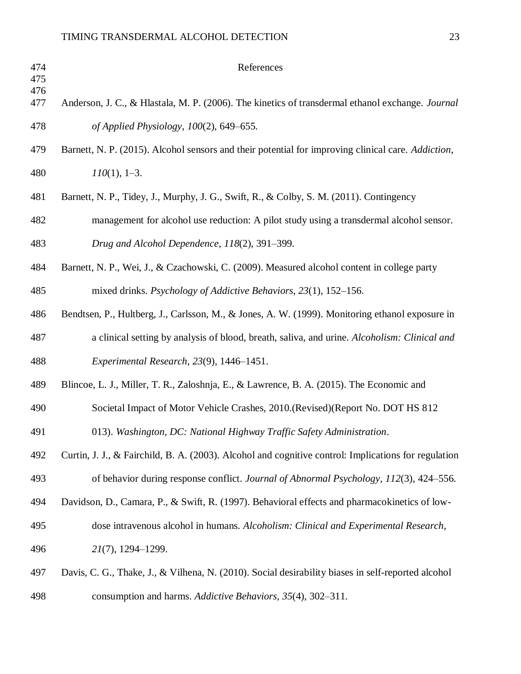| 474<br>475 | References                                                                                           |
|------------|------------------------------------------------------------------------------------------------------|
| 476<br>477 | Anderson, J. C., & Hlastala, M. P. (2006). The kinetics of transdermal ethanol exchange. Journal     |
| 478        | of Applied Physiology, 100(2), 649–655.                                                              |
| 479        | Barnett, N. P. (2015). Alcohol sensors and their potential for improving clinical care. Addiction,   |
| 480        | $110(1)$ , 1-3.                                                                                      |
| 481        | Barnett, N. P., Tidey, J., Murphy, J. G., Swift, R., & Colby, S. M. (2011). Contingency              |
| 482        | management for alcohol use reduction: A pilot study using a transdermal alcohol sensor.              |
| 483        | Drug and Alcohol Dependence, 118(2), 391-399.                                                        |
| 484        | Barnett, N. P., Wei, J., & Czachowski, C. (2009). Measured alcohol content in college party          |
| 485        | mixed drinks. Psychology of Addictive Behaviors, 23(1), 152-156.                                     |
| 486        | Bendtsen, P., Hultberg, J., Carlsson, M., & Jones, A. W. (1999). Monitoring ethanol exposure in      |
| 487        | a clinical setting by analysis of blood, breath, saliva, and urine. Alcoholism: Clinical and         |
| 488        | Experimental Research, 23(9), 1446–1451.                                                             |
| 489        | Blincoe, L. J., Miller, T. R., Zaloshnja, E., & Lawrence, B. A. (2015). The Economic and             |
| 490        | Societal Impact of Motor Vehicle Crashes, 2010.(Revised)(Report No. DOT HS 812                       |
| 491        | 013). Washington, DC: National Highway Traffic Safety Administration.                                |
| 492        | Curtin, J. J., & Fairchild, B. A. (2003). Alcohol and cognitive control: Implications for regulation |
| 493        | of behavior during response conflict. Journal of Abnormal Psychology, 112(3), 424–556.               |
| 494        | Davidson, D., Camara, P., & Swift, R. (1997). Behavioral effects and pharmacokinetics of low-        |
| 495        | dose intravenous alcohol in humans. Alcoholism: Clinical and Experimental Research,                  |
| 496        | 21(7), 1294-1299.                                                                                    |
| 497        | Davis, C. G., Thake, J., & Vilhena, N. (2010). Social desirability biases in self-reported alcohol   |
| 498        | consumption and harms. Addictive Behaviors, 35(4), 302-311.                                          |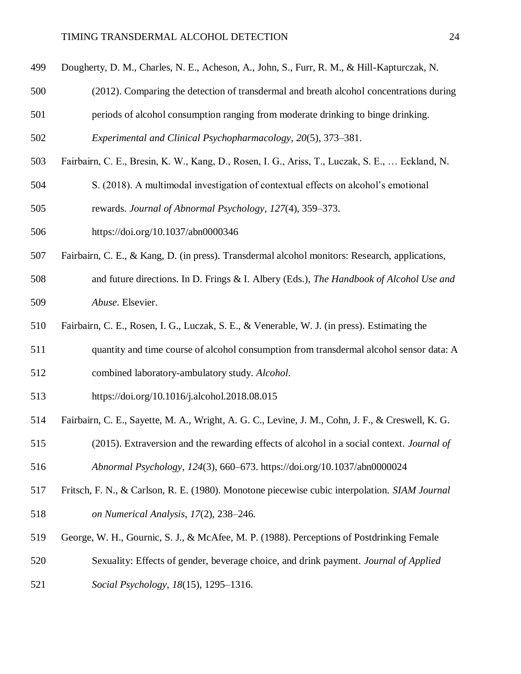- Dougherty, D. M., Charles, N. E., Acheson, A., John, S., Furr, R. M., & Hill-Kapturczak, N.
- (2012). Comparing the detection of transdermal and breath alcohol concentrations during
- periods of alcohol consumption ranging from moderate drinking to binge drinking.

*Experimental and Clinical Psychopharmacology*, *20*(5), 373–381.

- Fairbairn, C. E., Bresin, K. W., Kang, D., Rosen, I. G., Ariss, T., Luczak, S. E., … Eckland, N.
- S. (2018). A multimodal investigation of contextual effects on alcohol's emotional rewards. *Journal of Abnormal Psychology*, *127*(4), 359–373.
- https://doi.org/10.1037/abn0000346
- Fairbairn, C. E., & Kang, D. (in press). Transdermal alcohol monitors: Research, applications,
- and future directions. In D. Frings & I. Albery (Eds.), *The Handbook of Alcohol Use and Abuse*. Elsevier.
- Fairbairn, C. E., Rosen, I. G., Luczak, S. E., & Venerable, W. J. (in press). Estimating the
- quantity and time course of alcohol consumption from transdermal alcohol sensor data: A
- combined laboratory-ambulatory study. *Alcohol*.
- https://doi.org/10.1016/j.alcohol.2018.08.015
- Fairbairn, C. E., Sayette, M. A., Wright, A. G. C., Levine, J. M., Cohn, J. F., & Creswell, K. G.
- (2015). Extraversion and the rewarding effects of alcohol in a social context. *Journal of Abnormal Psychology*, *124*(3), 660–673. https://doi.org/10.1037/abn0000024
- Fritsch, F. N., & Carlson, R. E. (1980). Monotone piecewise cubic interpolation. *SIAM Journal on Numerical Analysis*, *17*(2), 238–246.
- George, W. H., Gournic, S. J., & McAfee, M. P. (1988). Perceptions of Postdrinking Female
- Sexuality: Effects of gender, beverage choice, and drink payment. *Journal of Applied*
- *Social Psychology*, *18*(15), 1295–1316.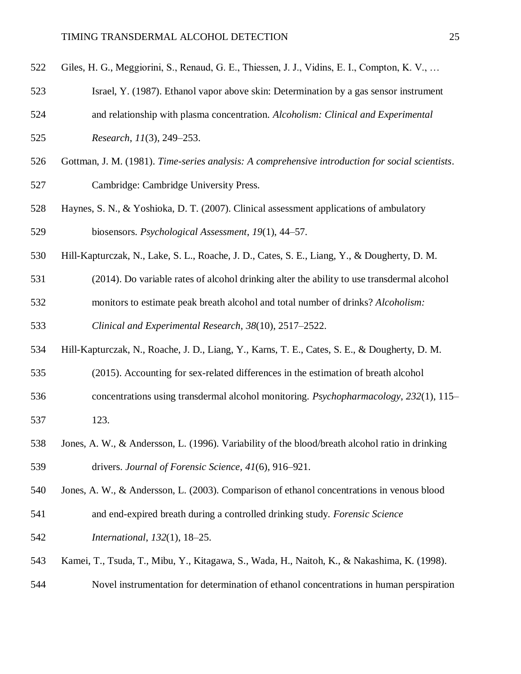| 522 | Giles, H. G., Meggiorini, S., Renaud, G. E., Thiessen, J. J., Vidins, E. I., Compton, K. V.,     |
|-----|--------------------------------------------------------------------------------------------------|
| 523 | Israel, Y. (1987). Ethanol vapor above skin: Determination by a gas sensor instrument            |
| 524 | and relationship with plasma concentration. Alcoholism: Clinical and Experimental                |
| 525 | Research, 11(3), 249-253.                                                                        |
| 526 | Gottman, J. M. (1981). Time-series analysis: A comprehensive introduction for social scientists. |
| 527 | Cambridge: Cambridge University Press.                                                           |
| 528 | Haynes, S. N., & Yoshioka, D. T. (2007). Clinical assessment applications of ambulatory          |
| 529 | biosensors. Psychological Assessment, 19(1), 44–57.                                              |
| 530 | Hill-Kapturczak, N., Lake, S. L., Roache, J. D., Cates, S. E., Liang, Y., & Dougherty, D. M.     |
| 531 | (2014). Do variable rates of alcohol drinking alter the ability to use transdermal alcohol       |
| 532 | monitors to estimate peak breath alcohol and total number of drinks? Alcoholism:                 |
| 533 | Clinical and Experimental Research, 38(10), 2517–2522.                                           |
| 534 | Hill-Kapturczak, N., Roache, J. D., Liang, Y., Karns, T. E., Cates, S. E., & Dougherty, D. M.    |
| 535 | (2015). Accounting for sex-related differences in the estimation of breath alcohol               |
| 536 | concentrations using transdermal alcohol monitoring. Psychopharmacology, 232(1), 115–            |
| 537 | 123.                                                                                             |
| 538 | Jones, A. W., & Andersson, L. (1996). Variability of the blood/breath alcohol ratio in drinking  |

drivers. *Journal of Forensic Science*, *41*(6), 916–921.

Jones, A. W., & Andersson, L. (2003). Comparison of ethanol concentrations in venous blood

- and end-expired breath during a controlled drinking study. *Forensic Science*
- *International*, *132*(1), 18–25.
- Kamei, T., Tsuda, T., Mibu, Y., Kitagawa, S., Wada, H., Naitoh, K., & Nakashima, K. (1998).
- Novel instrumentation for determination of ethanol concentrations in human perspiration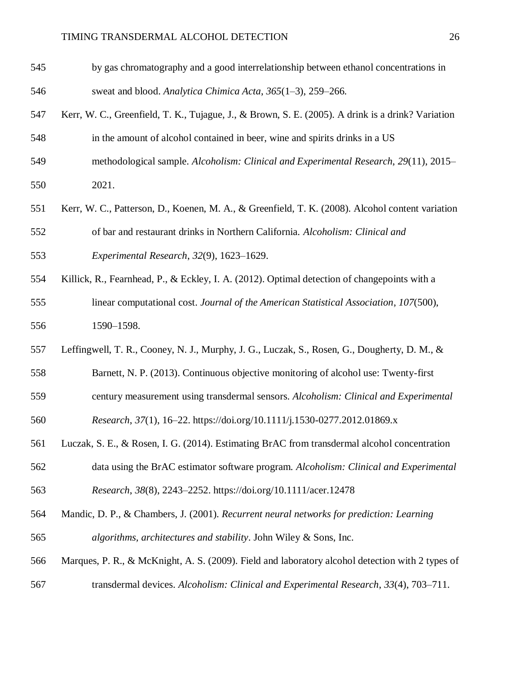- by gas chromatography and a good interrelationship between ethanol concentrations in sweat and blood. *Analytica Chimica Acta*, *365*(1–3), 259–266.
- Kerr, W. C., Greenfield, T. K., Tujague, J., & Brown, S. E. (2005). A drink is a drink? Variation
- in the amount of alcohol contained in beer, wine and spirits drinks in a US
- methodological sample. *Alcoholism: Clinical and Experimental Research*, *29*(11), 2015– 2021.
- Kerr, W. C., Patterson, D., Koenen, M. A., & Greenfield, T. K. (2008). Alcohol content variation of bar and restaurant drinks in Northern California. *Alcoholism: Clinical and Experimental Research*, *32*(9), 1623–1629.
- Killick, R., Fearnhead, P., & Eckley, I. A. (2012). Optimal detection of changepoints with a linear computational cost. *Journal of the American Statistical Association*, *107*(500), 1590–1598.
- Leffingwell, T. R., Cooney, N. J., Murphy, J. G., Luczak, S., Rosen, G., Dougherty, D. M., &
- Barnett, N. P. (2013). Continuous objective monitoring of alcohol use: Twenty-first
- century measurement using transdermal sensors. *Alcoholism: Clinical and Experimental*

*Research*, *37*(1), 16–22. https://doi.org/10.1111/j.1530-0277.2012.01869.x

- Luczak, S. E., & Rosen, I. G. (2014). Estimating BrAC from transdermal alcohol concentration data using the BrAC estimator software program. *Alcoholism: Clinical and Experimental*
- *Research*, *38*(8), 2243–2252. https://doi.org/10.1111/acer.12478
- Mandic, D. P., & Chambers, J. (2001). *Recurrent neural networks for prediction: Learning algorithms, architectures and stability*. John Wiley & Sons, Inc.
- Marques, P. R., & McKnight, A. S. (2009). Field and laboratory alcohol detection with 2 types of
- transdermal devices. *Alcoholism: Clinical and Experimental Research*, *33*(4), 703–711.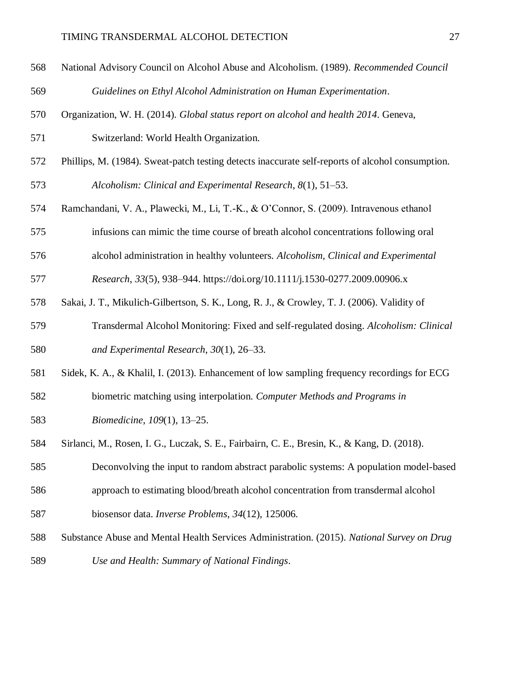| 568 | National Advisory Council on Alcohol Abuse and Alcoholism. (1989). Recommended Council           |
|-----|--------------------------------------------------------------------------------------------------|
| 569 | Guidelines on Ethyl Alcohol Administration on Human Experimentation.                             |
| 570 | Organization, W. H. (2014). Global status report on alcohol and health 2014. Geneva,             |
| 571 | Switzerland: World Health Organization.                                                          |
| 572 | Phillips, M. (1984). Sweat-patch testing detects inaccurate self-reports of alcohol consumption. |

*Alcoholism: Clinical and Experimental Research*, *8*(1), 51–53.

- Ramchandani, V. A., Plawecki, M., Li, T.-K., & O'Connor, S. (2009). Intravenous ethanol
- infusions can mimic the time course of breath alcohol concentrations following oral
- alcohol administration in healthy volunteers. *Alcoholism, Clinical and Experimental*

*Research*, *33*(5), 938–944. https://doi.org/10.1111/j.1530-0277.2009.00906.x

- Sakai, J. T., Mikulich-Gilbertson, S. K., Long, R. J., & Crowley, T. J. (2006). Validity of
- Transdermal Alcohol Monitoring: Fixed and self-regulated dosing. *Alcoholism: Clinical and Experimental Research*, *30*(1), 26–33.
- Sidek, K. A., & Khalil, I. (2013). Enhancement of low sampling frequency recordings for ECG
- biometric matching using interpolation. *Computer Methods and Programs in*

*Biomedicine*, *109*(1), 13–25.

Sirlanci, M., Rosen, I. G., Luczak, S. E., Fairbairn, C. E., Bresin, K., & Kang, D. (2018).

Deconvolving the input to random abstract parabolic systems: A population model-based

- approach to estimating blood/breath alcohol concentration from transdermal alcohol
- biosensor data. *Inverse Problems*, *34*(12), 125006.
- Substance Abuse and Mental Health Services Administration. (2015). *National Survey on Drug*
- *Use and Health: Summary of National Findings*.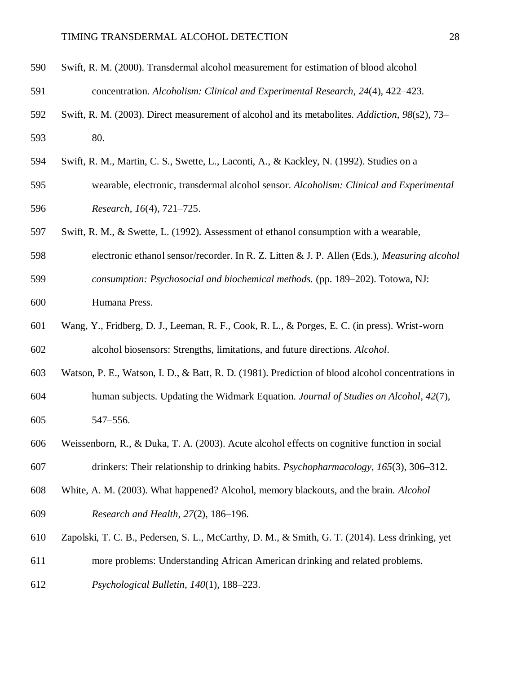- Swift, R. M. (2000). Transdermal alcohol measurement for estimation of blood alcohol concentration. *Alcoholism: Clinical and Experimental Research*, *24*(4), 422–423.
- Swift, R. M. (2003). Direct measurement of alcohol and its metabolites. *Addiction*, *98*(s2), 73– 80.
- Swift, R. M., Martin, C. S., Swette, L., Laconti, A., & Kackley, N. (1992). Studies on a
- wearable, electronic, transdermal alcohol sensor. *Alcoholism: Clinical and Experimental Research*, *16*(4), 721–725.
- Swift, R. M., & Swette, L. (1992). Assessment of ethanol consumption with a wearable,
- electronic ethanol sensor/recorder. In R. Z. Litten & J. P. Allen (Eds.), *Measuring alcohol*
- *consumption: Psychosocial and biochemical methods.* (pp. 189–202). Totowa, NJ: Humana Press.
- Wang, Y., Fridberg, D. J., Leeman, R. F., Cook, R. L., & Porges, E. C. (in press). Wrist-worn alcohol biosensors: Strengths, limitations, and future directions. *Alcohol*.
- Watson, P. E., Watson, I. D., & Batt, R. D. (1981). Prediction of blood alcohol concentrations in human subjects. Updating the Widmark Equation. *Journal of Studies on Alcohol*, *42*(7), 547–556.
- Weissenborn, R., & Duka, T. A. (2003). Acute alcohol effects on cognitive function in social drinkers: Their relationship to drinking habits. *Psychopharmacology*, *165*(3), 306–312.
- White, A. M. (2003). What happened? Alcohol, memory blackouts, and the brain. *Alcohol Research and Health*, *27*(2), 186–196.
- Zapolski, T. C. B., Pedersen, S. L., McCarthy, D. M., & Smith, G. T. (2014). Less drinking, yet
- more problems: Understanding African American drinking and related problems.
- *Psychological Bulletin*, *140*(1), 188–223.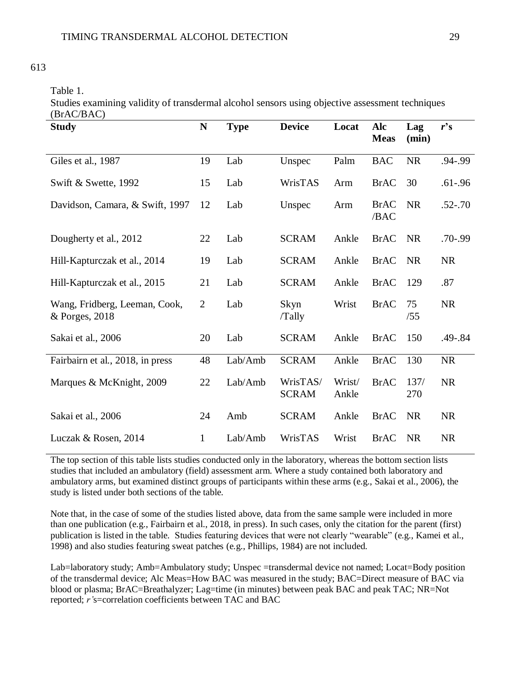# 613

Table 1.

Studies examining validity of transdermal alcohol sensors using objective assessment techniques (BrAC/BAC)

| <b>Study</b>                                    | N              | <b>Type</b> | <b>Device</b>            | Locat           | Alc<br><b>Meas</b>  | Lag<br>(min) | $r$ 's      |
|-------------------------------------------------|----------------|-------------|--------------------------|-----------------|---------------------|--------------|-------------|
| Giles et al., 1987                              | 19             | Lab         | Unspec                   | Palm            | <b>BAC</b>          | <b>NR</b>    | .94-.99     |
| Swift & Swette, 1992                            | 15             | Lab         | WrisTAS                  | Arm             | <b>BrAC</b>         | 30           | $.61 - .96$ |
| Davidson, Camara, & Swift, 1997                 | 12             | Lab         | Unspec                   | Arm             | <b>BrAC</b><br>/BAC | <b>NR</b>    | $.52 - .70$ |
| Dougherty et al., 2012                          | 22             | Lab         | <b>SCRAM</b>             | Ankle           | <b>BrAC</b>         | <b>NR</b>    | $.70 - .99$ |
| Hill-Kapturczak et al., 2014                    | 19             | Lab         | <b>SCRAM</b>             | Ankle           | <b>BrAC</b>         | <b>NR</b>    | <b>NR</b>   |
| Hill-Kapturczak et al., 2015                    | 21             | Lab         | <b>SCRAM</b>             | Ankle           | <b>BrAC</b>         | 129          | .87         |
| Wang, Fridberg, Leeman, Cook,<br>& Porges, 2018 | $\overline{2}$ | Lab         | Skyn<br>/Tally           | Wrist           | <b>BrAC</b>         | 75<br>/55    | <b>NR</b>   |
| Sakai et al., 2006                              | 20             | Lab         | <b>SCRAM</b>             | Ankle           | <b>BrAC</b>         | 150          | .49-.84     |
| Fairbairn et al., 2018, in press                | 48             | Lab/Amb     | <b>SCRAM</b>             | Ankle           | <b>BrAC</b>         | 130          | <b>NR</b>   |
| Marques & McKnight, 2009                        | 22             | Lab/Amb     | WrisTAS/<br><b>SCRAM</b> | Wrist/<br>Ankle | <b>BrAC</b>         | 137/<br>270  | <b>NR</b>   |
| Sakai et al., 2006                              | 24             | Amb         | <b>SCRAM</b>             | Ankle           | <b>BrAC</b>         | <b>NR</b>    | <b>NR</b>   |
| Luczak & Rosen, 2014                            | $\mathbf 1$    | Lab/Amb     | WrisTAS                  | Wrist           | <b>BrAC</b>         | <b>NR</b>    | <b>NR</b>   |

The top section of this table lists studies conducted only in the laboratory, whereas the bottom section lists studies that included an ambulatory (field) assessment arm. Where a study contained both laboratory and ambulatory arms, but examined distinct groups of participants within these arms (e.g., Sakai et al., 2006), the study is listed under both sections of the table.

Note that, in the case of some of the studies listed above, data from the same sample were included in more than one publication (e.g., Fairbairn et al., 2018, in press). In such cases, only the citation for the parent (first) publication is listed in the table. Studies featuring devices that were not clearly "wearable" (e.g., Kamei et al., 1998) and also studies featuring sweat patches (e.g., Phillips, 1984) are not included.

Lab=laboratory study; Amb=Ambulatory study; Unspec =transdermal device not named; Locat=Body position of the transdermal device; Alc Meas=How BAC was measured in the study; BAC=Direct measure of BAC via blood or plasma; BrAC=Breathalyzer; Lag=time (in minutes) between peak BAC and peak TAC; NR=Not reported; *r'*s=correlation coefficients between TAC and BAC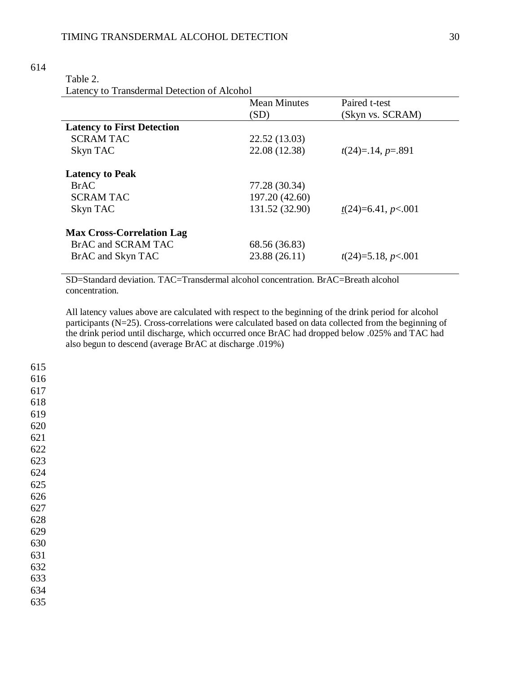| ٠<br>v<br>× |
|-------------|
|-------------|

# Table 2.

Latency to Transdermal Detection of Alcohol

|                                   | <b>Mean Minutes</b> | Paired t-test        |
|-----------------------------------|---------------------|----------------------|
|                                   | (SD)                | (Skyn vs. SCRAM)     |
| <b>Latency to First Detection</b> |                     |                      |
| <b>SCRAM TAC</b>                  | 22.52 (13.03)       |                      |
| Skyn TAC                          | 22.08 (12.38)       | $t(24)=14, p=.891$   |
| <b>Latency to Peak</b>            |                     |                      |
| <b>BrAC</b>                       | 77.28 (30.34)       |                      |
| <b>SCRAM TAC</b>                  | 197.20 (42.60)      |                      |
| Skyn TAC                          | 131.52 (32.90)      | $t(24)=6.41, p<.001$ |
| <b>Max Cross-Correlation Lag</b>  |                     |                      |
| BrAC and SCRAM TAC                | 68.56 (36.83)       |                      |
| BrAC and Skyn TAC                 | 23.88 (26.11)       | $t(24)=5.18, p<.001$ |

SD=Standard deviation. TAC=Transdermal alcohol concentration. BrAC=Breath alcohol concentration.

All latency values above are calculated with respect to the beginning of the drink period for alcohol participants (N=25). Cross-correlations were calculated based on data collected from the beginning of the drink period until discharge, which occurred once BrAC had dropped below .025% and TAC had also begun to descend (average BrAC at discharge .019%)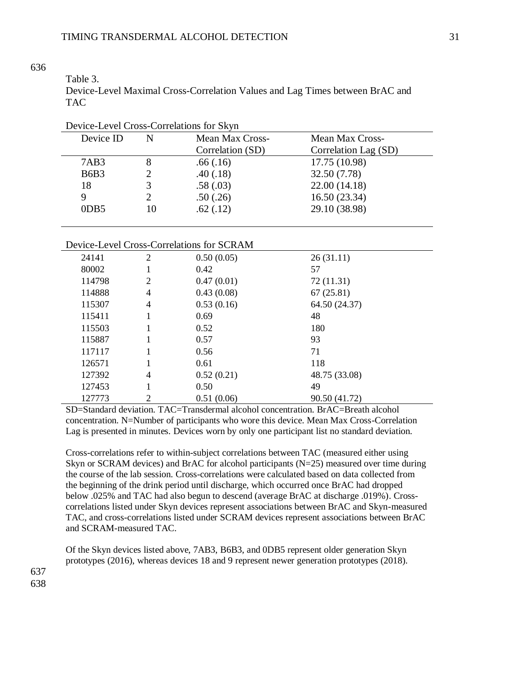| able |  |
|------|--|
|      |  |

Device-Level Maximal Cross-Correlation Values and Lag Times between BrAC and TAC

| Device-Level Cross-Correlations for Skyn |    |                        |                      |  |
|------------------------------------------|----|------------------------|----------------------|--|
| Device ID                                | N  | <b>Mean Max Cross-</b> | Mean Max Cross-      |  |
|                                          |    | Correlation (SD)       | Correlation Lag (SD) |  |
| 7AB3                                     |    | .66(.16)               | 17.75 (10.98)        |  |
| <b>B6B3</b>                              |    | .40(.18)               | 32.50 (7.78)         |  |
| 18                                       |    | .58(.03)               | 22.00 (14.18)        |  |
| 9                                        |    | .50(.26)               | 16.50 (23.34)        |  |
| 0DB5                                     | 10 | .62(.12)               | 29.10 (38.98)        |  |

# Device-Level Cross-Correlations for SCRAM

| 24141  | $\overline{2}$ | 0.50(0.05) | 26(31.11)     |  |
|--------|----------------|------------|---------------|--|
| 80002  | 1              | 0.42       | 57            |  |
| 114798 | 2              | 0.47(0.01) | 72 (11.31)    |  |
| 114888 | 4              | 0.43(0.08) | 67(25.81)     |  |
| 115307 | 4              | 0.53(0.16) | 64.50 (24.37) |  |
| 115411 |                | 0.69       | 48            |  |
| 115503 |                | 0.52       | 180           |  |
| 115887 |                | 0.57       | 93            |  |
| 117117 |                | 0.56       | 71            |  |
| 126571 |                | 0.61       | 118           |  |
| 127392 | 4              | 0.52(0.21) | 48.75 (33.08) |  |
| 127453 |                | 0.50       | 49            |  |
| 127773 | 2              | 0.51(0.06) | 90.50 (41.72) |  |

SD=Standard deviation. TAC=Transdermal alcohol concentration. BrAC=Breath alcohol concentration. N=Number of participants who wore this device. Mean Max Cross-Correlation Lag is presented in minutes. Devices worn by only one participant list no standard deviation.

Cross-correlations refer to within-subject correlations between TAC (measured either using Skyn or SCRAM devices) and BrAC for alcohol participants (N=25) measured over time during the course of the lab session. Cross-correlations were calculated based on data collected from the beginning of the drink period until discharge, which occurred once BrAC had dropped below .025% and TAC had also begun to descend (average BrAC at discharge .019%). Crosscorrelations listed under Skyn devices represent associations between BrAC and Skyn-measured TAC, and cross-correlations listed under SCRAM devices represent associations between BrAC and SCRAM-measured TAC.

Of the Skyn devices listed above, 7AB3, B6B3, and 0DB5 represent older generation Skyn prototypes (2016), whereas devices 18 and 9 represent newer generation prototypes (2018).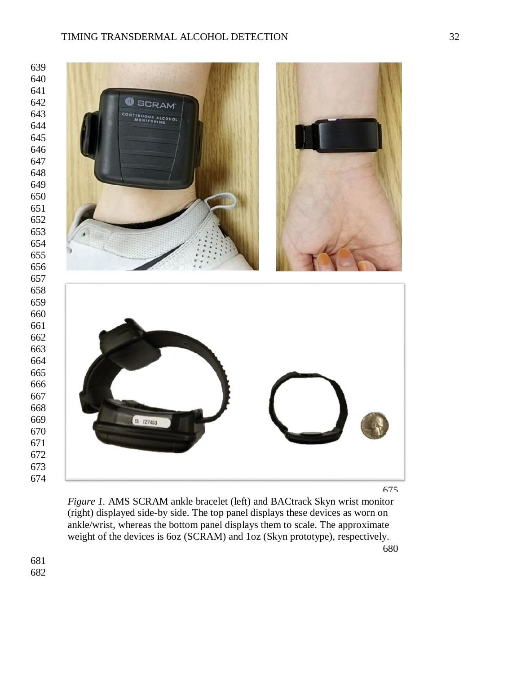



Figure 1. AMS SCRAM ankle bracelet (left) and BACtrack Skyn wrist monitor (right) displayed side-by side. The top panel displays these devices as worn on ankle/wrist, whereas the bottom panel displays them to scale. The approximate weight of the devices is 6oz (SCRAM) and 1oz (Skyn prototype), respectively.